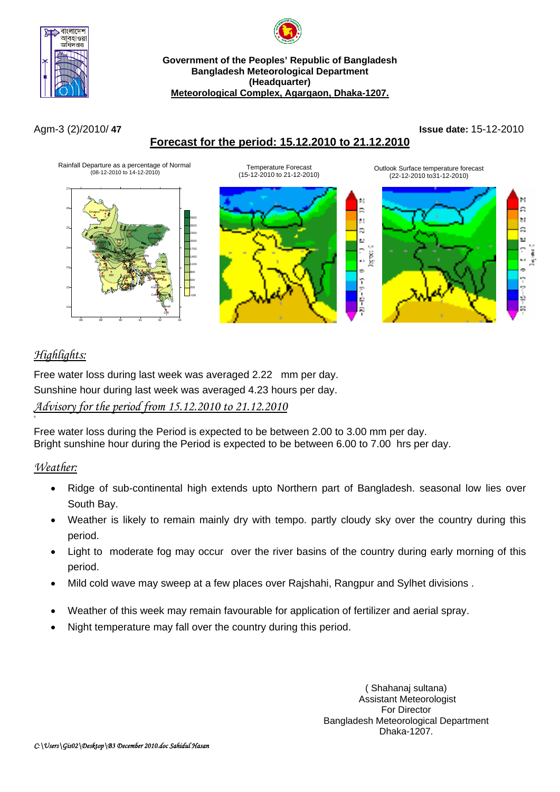



**Government of the Peoples' Republic of Bangladesh Bangladesh Meteorological Department (Headquarter) Meteorological Complex, Agargaon, Dhaka-1207.**

# **Forecast for the period: 15.12.2010 to 21.12.2010**

Agm-3 (2)/2010/ **47 Issue date:** 15-12-2010



# *Highlights:*

Free water loss during last week was averaged 2.22 mm per day. Sunshine hour during last week was averaged 4.23 hours per day. *Advisory for the period from 15.12.2010 to 21.12.2010*

Free water loss during the Period is expected to be between 2.00 to 3.00 mm per day. Bright sunshine hour during the Period is expected to be between 6.00 to 7.00 hrs per day.

## *Weather:*

n

- Ridge of sub-continental high extends upto Northern part of Bangladesh. seasonal low lies over South Bay.
- Weather is likely to remain mainly dry with tempo. partly cloudy sky over the country during this period.
- Light to moderate fog may occur over the river basins of the country during early morning of this period.
- Mild cold wave may sweep at a few places over Rajshahi, Rangpur and Sylhet divisions .
- Weather of this week may remain favourable for application of fertilizer and aerial spray.
- Night temperature may fall over the country during this period.

( Shahanaj sultana) Assistant Meteorologist For Director Bangladesh Meteorological Department Dhaka-1207.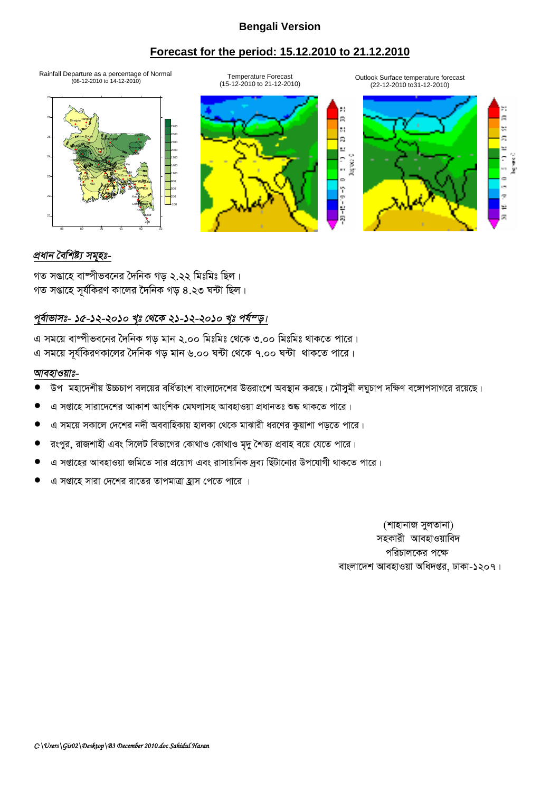### **Bengali Version**

## **Forecast for the period: 15.12.2010 to 21.12.2010**

Rainfall Departure as a percentage of Normal (08-12-2010 to 14-12-2010)



Outlook Surface temperature forecast (22-12-2010 to31-12-2010)



## *প্ৰধান বৈশিষ্ট্য সমৃহঃ-*

গত সপ্তাহে বাষ্পীভবনের দৈনিক গড ২.২২ মিঃমিঃ ছিল। গত সপ্তাহে সূর্যকিরণ কালের দৈনিক গড় ৪.২৩ ঘন্টা ছিল।

## পূর্বাভাসঃ- ১৫-১২-২০১০ খৃঃ থেকে ২১-১২-২০১০ খৃঃ পর্য<sup>ন</sup>ড়।

এ সময়ে বাম্পীভবনের দৈনিক গড় মান ২.০০ মিঃমিঃ থেকে ৩.০০ মিঃমিঃ থাকতে পারে। এ সময়ে সূর্যকিরণকালের দৈনিক গড় মান ৬.০০ ঘন্টা থেকে ৭.০০ ঘন্টা থাকতে পারে।

#### *আবহাওয়াঃ-*

- উপ মহাদেশীয় উচ্চচাপ বলয়ের বর্ধিতাংশ বাংলাদেশের উত্তরাংশে অবস্থান করছে। মৌসুমী লঘুচাপ দক্ষিণ বঙ্গোপসাগরে রয়েছে।
- এ সপ্তাহে সারাদেশের আকাশ আংশিক মেঘলাসহ আবহাওয়া প্রধানতঃ শুষ্ক থাকতে পারে।
- এ সময়ে সকালে দেশের নদী অববাহিকায় হালকা থেকে মাঝারী ধরণের কুয়াশা পড়তে পারে।
- রংপুর, রাজশাহী এবং সিলেট বিভাগের কোথাও কোথাও মৃদু শৈত্য প্রবাহ বয়ে যেতে পারে।
- এ সপ্তাহের আবহাওয়া জমিতে সার প্রয়োগ এবং রাসায়নিক দব্য ছিঁটানোর উপযোগী থাকতে পারে।
- $\alpha$  সপ্তাহে সারা দেশের রাতের তাপমাত্রা হ্রাস পেতে পারে ।

(শাহানাজ সুলতানা) সহকারী আবহাওয়াবিদ পরিচালকের পক্ষে বাংলাদেশ আবহাওয়া অধিদপ্তর, ঢাকা-১২০৭।